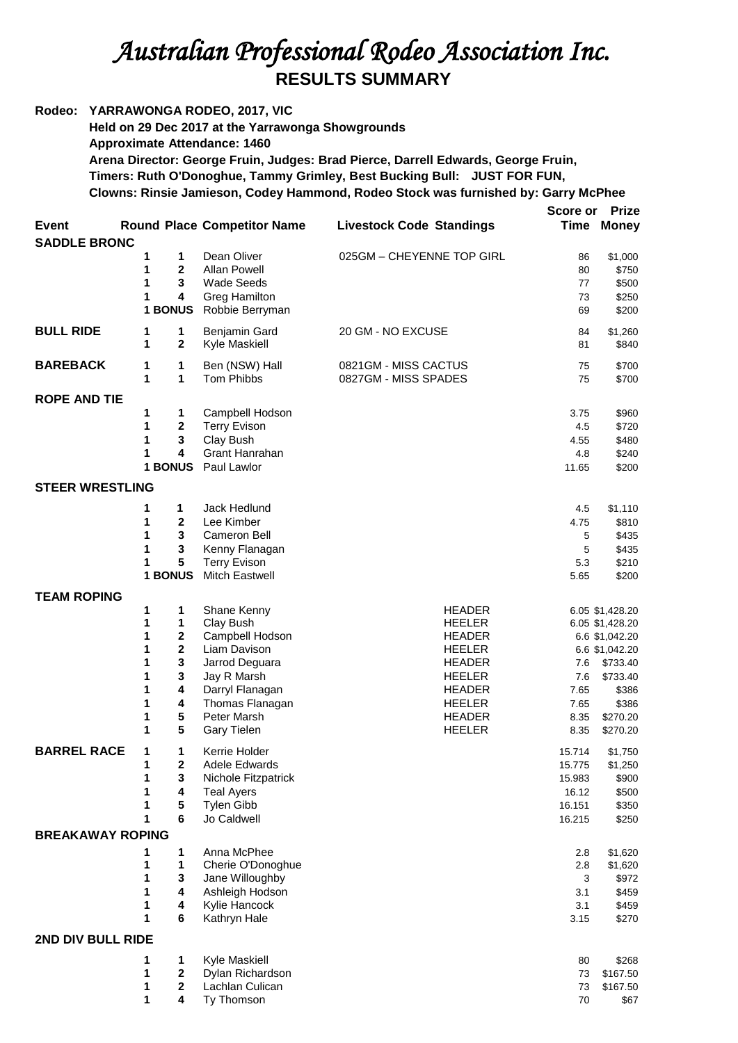## *Australian Professional Rodeo Association Inc.*  **RESULTS SUMMARY**

| Rodeo:                                                                                                                   |                                       | YARRAWONGA RODEO, 2017, VIC                       |                                                                                    |                  |                                  |  |  |  |  |
|--------------------------------------------------------------------------------------------------------------------------|---------------------------------------|---------------------------------------------------|------------------------------------------------------------------------------------|------------------|----------------------------------|--|--|--|--|
|                                                                                                                          |                                       | Held on 29 Dec 2017 at the Yarrawonga Showgrounds |                                                                                    |                  |                                  |  |  |  |  |
| <b>Approximate Attendance: 1460</b><br>Arena Director: George Fruin, Judges: Brad Pierce, Darrell Edwards, George Fruin, |                                       |                                                   |                                                                                    |                  |                                  |  |  |  |  |
|                                                                                                                          |                                       |                                                   | Timers: Ruth O'Donoghue, Tammy Grimley, Best Bucking Bull: JUST FOR FUN,           |                  |                                  |  |  |  |  |
|                                                                                                                          |                                       |                                                   | Clowns: Rinsie Jamieson, Codey Hammond, Rodeo Stock was furnished by: Garry McPhee |                  |                                  |  |  |  |  |
|                                                                                                                          |                                       |                                                   |                                                                                    | Score or         | <b>Prize</b>                     |  |  |  |  |
| Event                                                                                                                    |                                       | <b>Round Place Competitor Name</b>                | <b>Livestock Code Standings</b>                                                    |                  | <b>Time Money</b>                |  |  |  |  |
| <b>SADDLE BRONC</b>                                                                                                      | 1<br>1                                | Dean Oliver                                       | 025GM - CHEYENNE TOP GIRL                                                          | 86               | \$1,000                          |  |  |  |  |
|                                                                                                                          | $\mathbf{2}$<br>1                     | <b>Allan Powell</b>                               |                                                                                    | 80               | \$750                            |  |  |  |  |
|                                                                                                                          | 1<br>3                                | <b>Wade Seeds</b>                                 |                                                                                    | 77               | \$500                            |  |  |  |  |
|                                                                                                                          | 4<br>1<br><b>1 BONUS</b>              | <b>Greg Hamilton</b><br>Robbie Berryman           |                                                                                    | 73<br>69         | \$250<br>\$200                   |  |  |  |  |
|                                                                                                                          |                                       |                                                   |                                                                                    |                  |                                  |  |  |  |  |
| <b>BULL RIDE</b>                                                                                                         | 1<br>1<br>1<br>$\mathbf{2}$           | Benjamin Gard<br>Kyle Maskiell                    | 20 GM - NO EXCUSE                                                                  | 84<br>81         | \$1,260<br>\$840                 |  |  |  |  |
| <b>BAREBACK</b>                                                                                                          | 1<br>1                                | Ben (NSW) Hall                                    | 0821GM - MISS CACTUS                                                               | 75               | \$700                            |  |  |  |  |
|                                                                                                                          | 1<br>1                                | <b>Tom Phibbs</b>                                 | 0827GM - MISS SPADES                                                               | 75               | \$700                            |  |  |  |  |
| <b>ROPE AND TIE</b>                                                                                                      |                                       |                                                   |                                                                                    |                  |                                  |  |  |  |  |
|                                                                                                                          | 1<br>1<br>1<br>$\mathbf{2}$           | Campbell Hodson<br><b>Terry Evison</b>            |                                                                                    | 3.75<br>4.5      | \$960<br>\$720                   |  |  |  |  |
|                                                                                                                          | 1<br>3                                | Clay Bush                                         |                                                                                    | 4.55             | \$480                            |  |  |  |  |
|                                                                                                                          | 4<br>1                                | Grant Hanrahan                                    |                                                                                    | 4.8              | \$240                            |  |  |  |  |
|                                                                                                                          | <b>1 BONUS</b>                        | Paul Lawlor                                       |                                                                                    | 11.65            | \$200                            |  |  |  |  |
| <b>STEER WRESTLING</b>                                                                                                   |                                       |                                                   |                                                                                    |                  |                                  |  |  |  |  |
|                                                                                                                          | 1<br>1                                | Jack Hedlund                                      |                                                                                    | 4.5              | \$1,110                          |  |  |  |  |
|                                                                                                                          | 1<br>$\mathbf 2$                      | Lee Kimber                                        |                                                                                    | 4.75             | \$810                            |  |  |  |  |
|                                                                                                                          | 1<br>3                                | Cameron Bell                                      |                                                                                    | 5                | \$435                            |  |  |  |  |
|                                                                                                                          | 1<br>3<br>5<br>1                      | Kenny Flanagan<br><b>Terry Evison</b>             |                                                                                    | 5<br>5.3         | \$435<br>\$210                   |  |  |  |  |
|                                                                                                                          | <b>1 BONUS</b>                        | <b>Mitch Eastwell</b>                             |                                                                                    | 5.65             | \$200                            |  |  |  |  |
| <b>TEAM ROPING</b>                                                                                                       |                                       |                                                   |                                                                                    |                  |                                  |  |  |  |  |
|                                                                                                                          | 1<br>1                                | Shane Kenny                                       | <b>HEADER</b>                                                                      |                  | 6.05 \$1,428.20                  |  |  |  |  |
|                                                                                                                          | 1<br>$\mathbf 1$<br>1<br>$\mathbf{2}$ | Clay Bush                                         | <b>HEELER</b>                                                                      |                  | 6.05 \$1,428.20                  |  |  |  |  |
|                                                                                                                          | 1<br>$\mathbf 2$                      | Campbell Hodson<br>Liam Davison                   | <b>HEADER</b><br><b>HEELER</b>                                                     |                  | 6.6 \$1,042.20<br>6.6 \$1,042.20 |  |  |  |  |
|                                                                                                                          | 1<br>3                                | Jarrod Deguara                                    | <b>HEADER</b>                                                                      | 7.6              | \$733.40                         |  |  |  |  |
|                                                                                                                          | 1<br>3                                | Jay R Marsh                                       | <b>HEELER</b>                                                                      | 7.6              | \$733.40                         |  |  |  |  |
|                                                                                                                          | 1<br>4<br>1<br>4                      | Darryl Flanagan                                   | <b>HEADER</b><br><b>HEELER</b>                                                     | 7.65             | \$386                            |  |  |  |  |
|                                                                                                                          | 5<br>1                                | Thomas Flanagan<br>Peter Marsh                    | <b>HEADER</b>                                                                      | 7.65<br>8.35     | \$386<br>\$270.20                |  |  |  |  |
|                                                                                                                          | 1<br>5                                | <b>Gary Tielen</b>                                | <b>HEELER</b>                                                                      | 8.35             | \$270.20                         |  |  |  |  |
| <b>BARREL RACE</b>                                                                                                       | 1<br>1                                | Kerrie Holder                                     |                                                                                    | 15.714           | \$1,750                          |  |  |  |  |
|                                                                                                                          | $\mathbf{2}$<br>1<br>3<br>1           | Adele Edwards<br>Nichole Fitzpatrick              |                                                                                    | 15.775<br>15.983 | \$1,250<br>\$900                 |  |  |  |  |
|                                                                                                                          | 1<br>4                                | <b>Teal Ayers</b>                                 |                                                                                    | 16.12            | \$500                            |  |  |  |  |
|                                                                                                                          | 5<br>1                                | <b>Tylen Gibb</b>                                 |                                                                                    | 16.151           | \$350                            |  |  |  |  |
|                                                                                                                          | 6<br>1                                | Jo Caldwell                                       |                                                                                    | 16.215           | \$250                            |  |  |  |  |
| <b>BREAKAWAY ROPING</b>                                                                                                  |                                       |                                                   |                                                                                    |                  |                                  |  |  |  |  |
|                                                                                                                          | 1<br>1<br>1<br>1                      | Anna McPhee<br>Cherie O'Donoghue                  |                                                                                    | 2.8<br>2.8       | \$1,620<br>\$1,620               |  |  |  |  |
|                                                                                                                          | 1<br>3                                | Jane Willoughby                                   |                                                                                    | 3                | \$972                            |  |  |  |  |
|                                                                                                                          | 1<br>4                                | Ashleigh Hodson                                   |                                                                                    | 3.1              | \$459                            |  |  |  |  |
|                                                                                                                          | 1<br>4                                | Kylie Hancock                                     |                                                                                    | 3.1              | \$459                            |  |  |  |  |
|                                                                                                                          | 1<br>6                                | Kathryn Hale                                      |                                                                                    | 3.15             | \$270                            |  |  |  |  |
| 2ND DIV BULL RIDE                                                                                                        |                                       |                                                   |                                                                                    |                  |                                  |  |  |  |  |
|                                                                                                                          | 1<br>1                                | <b>Kyle Maskiell</b>                              |                                                                                    | 80               | \$268                            |  |  |  |  |
|                                                                                                                          | 1<br>$\mathbf 2$<br>$\mathbf{2}$<br>1 | Dylan Richardson<br>Lachlan Culican               |                                                                                    | 73<br>73         | \$167.50<br>\$167.50             |  |  |  |  |
|                                                                                                                          | 1<br>4                                | Ty Thomson                                        |                                                                                    | 70               | \$67                             |  |  |  |  |
|                                                                                                                          |                                       |                                                   |                                                                                    |                  |                                  |  |  |  |  |